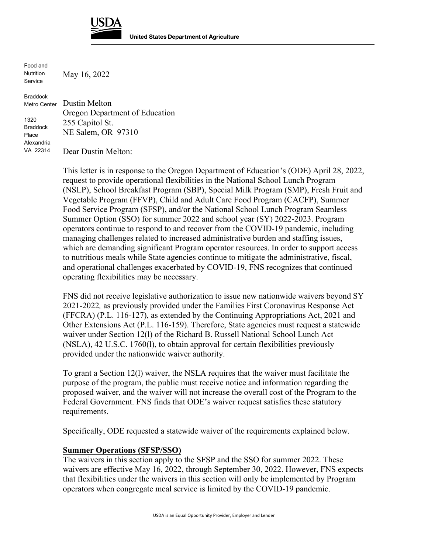

Food and Nutrition Service

May 16, 2022

Braddock Metro Center 1320 Braddock Place Alexandria VA 22314 Dustin Melton Oregon Department of Education 255 Capitol St. NE Salem, OR 97310 Dear Dustin Melton:

> This letter is in response to the Oregon Department of Education's (ODE) April 28, 2022, request to provide operational flexibilities in the National School Lunch Program (NSLP), School Breakfast Program (SBP), Special Milk Program (SMP), Fresh Fruit and Vegetable Program (FFVP), Child and Adult Care Food Program (CACFP), Summer Food Service Program (SFSP), and/or the National School Lunch Program Seamless Summer Option (SSO) for summer 2022 and school year (SY) 2022-2023. Program operators continue to respond to and recover from the COVID-19 pandemic, including managing challenges related to increased administrative burden and staffing issues, which are demanding significant Program operator resources. In order to support access to nutritious meals while State agencies continue to mitigate the administrative, fiscal, and operational challenges exacerbated by COVID-19, FNS recognizes that continued operating flexibilities may be necessary.

> FNS did not receive legislative authorization to issue new nationwide waivers beyond SY 2021-2022*,* as previously provided under the Families First Coronavirus Response Act (FFCRA) (P.L. 116-127), as extended by the Continuing Appropriations Act, 2021 and Other Extensions Act (P.L. 116-159). Therefore, State agencies must request a statewide waiver under Section 12(l) of the Richard B. Russell National School Lunch Act (NSLA), 42 U.S.C. 1760(l), to obtain approval for certain flexibilities previously provided under the nationwide waiver authority.

To grant a Section 12(l) waiver, the NSLA requires that the waiver must facilitate the purpose of the program, the public must receive notice and information regarding the proposed waiver, and the waiver will not increase the overall cost of the Program to the Federal Government. FNS finds that ODE's waiver request satisfies these statutory requirements.

Specifically, ODE requested a statewide waiver of the requirements explained below.

## **Summer Operations (SFSP/SSO)**

The waivers in this section apply to the SFSP and the SSO for summer 2022. These waivers are effective May 16, 2022, through September 30, 2022. However, FNS expects that flexibilities under the waivers in this section will only be implemented by Program operators when congregate meal service is limited by the COVID-19 pandemic.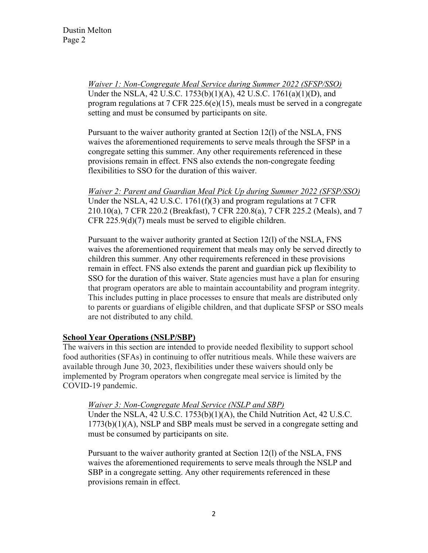*Waiver 1: Non-Congregate Meal Service during Summer 2022 (SFSP/SSO)*  Under the NSLA, 42 U.S.C. 1753(b)(1)(A), 42 U.S.C. 1761(a)(1)(D), and program regulations at 7 CFR 225.6(e)(15), meals must be served in a congregate setting and must be consumed by participants on site.

Pursuant to the waiver authority granted at Section 12(l) of the NSLA, FNS waives the aforementioned requirements to serve meals through the SFSP in a congregate setting this summer. Any other requirements referenced in these provisions remain in effect. FNS also extends the non-congregate feeding flexibilities to SSO for the duration of this waiver.

*Waiver 2: Parent and Guardian Meal Pick Up during Summer 2022 (SFSP/SSO)*  Under the NSLA, 42 U.S.C.  $1761(f)(3)$  and program regulations at  $7 \text{ CFR}$ 210.10(a), 7 CFR 220.2 (Breakfast), 7 CFR 220.8(a), 7 CFR 225.2 (Meals), and 7 CFR 225.9(d)(7) meals must be served to eligible children.

Pursuant to the waiver authority granted at Section 12(l) of the NSLA, FNS waives the aforementioned requirement that meals may only be served directly to children this summer. Any other requirements referenced in these provisions remain in effect. FNS also extends the parent and guardian pick up flexibility to SSO for the duration of this waiver. State agencies must have a plan for ensuring that program operators are able to maintain accountability and program integrity. This includes putting in place processes to ensure that meals are distributed only to parents or guardians of eligible children, and that duplicate SFSP or SSO meals are not distributed to any child.

## **School Year Operations (NSLP/SBP)**

The waivers in this section are intended to provide needed flexibility to support school food authorities (SFAs) in continuing to offer nutritious meals. While these waivers are available through June 30, 2023, flexibilities under these waivers should only be implemented by Program operators when congregate meal service is limited by the COVID-19 pandemic.

## *Waiver 3: Non-Congregate Meal Service (NSLP and SBP)*

Under the NSLA, 42 U.S.C. 1753(b)(1)(A), the Child Nutrition Act, 42 U.S.C. 1773(b)(1)(A), NSLP and SBP meals must be served in a congregate setting and must be consumed by participants on site.

Pursuant to the waiver authority granted at Section 12(l) of the NSLA, FNS waives the aforementioned requirements to serve meals through the NSLP and SBP in a congregate setting. Any other requirements referenced in these provisions remain in effect.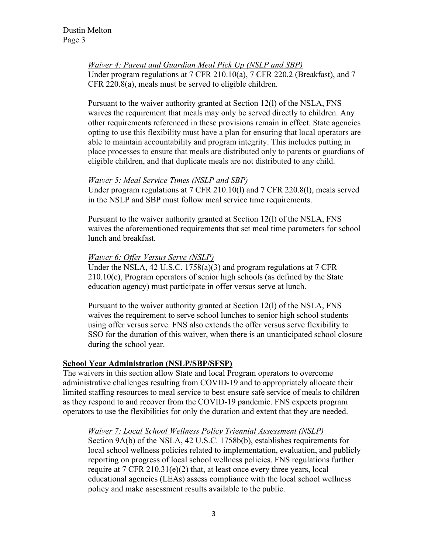*Waiver 4: Parent and Guardian Meal Pick Up (NSLP and SBP)*  Under program regulations at 7 CFR 210.10(a), 7 CFR 220.2 (Breakfast), and 7 CFR 220.8(a), meals must be served to eligible children.

Pursuant to the waiver authority granted at Section 12(l) of the NSLA, FNS waives the requirement that meals may only be served directly to children. Any other requirements referenced in these provisions remain in effect. State agencies opting to use this flexibility must have a plan for ensuring that local operators are able to maintain accountability and program integrity. This includes putting in place processes to ensure that meals are distributed only to parents or guardians of eligible children, and that duplicate meals are not distributed to any child.

## *Waiver 5: Meal Service Times (NSLP and SBP)*

Under program regulations at 7 CFR 210.10(l) and 7 CFR 220.8(l), meals served in the NSLP and SBP must follow meal service time requirements.

Pursuant to the waiver authority granted at Section 12(l) of the NSLA, FNS waives the aforementioned requirements that set meal time parameters for school lunch and breakfast.

## *Waiver 6: Offer Versus Serve (NSLP)*

Under the NSLA, 42 U.S.C. 1758(a)(3) and program regulations at 7 CFR  $210.10(e)$ , Program operators of senior high schools (as defined by the State education agency) must participate in offer versus serve at lunch.

Pursuant to the waiver authority granted at Section 12(l) of the NSLA, FNS waives the requirement to serve school lunches to senior high school students using offer versus serve. FNS also extends the offer versus serve flexibility to SSO for the duration of this waiver, when there is an unanticipated school closure during the school year.

## **School Year Administration (NSLP/SBP/SFSP)**

The waivers in this section allow State and local Program operators to overcome administrative challenges resulting from COVID-19 and to appropriately allocate their limited staffing resources to meal service to best ensure safe service of meals to children as they respond to and recover from the COVID-19 pandemic. FNS expects program operators to use the flexibilities for only the duration and extent that they are needed.

#### *Waiver 7: Local School Wellness Policy Triennial Assessment (NSLP)*

Section 9A(b) of the NSLA, 42 U.S.C. 1758b(b), establishes requirements for local school wellness policies related to implementation, evaluation, and publicly reporting on progress of local school wellness policies. FNS regulations further require at 7 CFR 210.31(e)(2) that, at least once every three years, local educational agencies (LEAs) assess compliance with the local school wellness policy and make assessment results available to the public.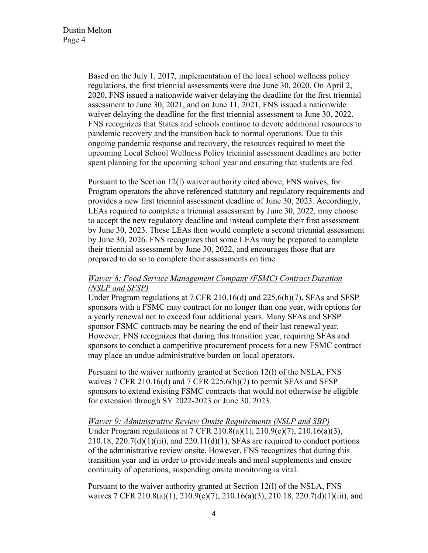Based on the July 1, 2017, implementation of the local school wellness policy regulations, the first triennial assessments were due June 30, 2020. On April 2, 2020, FNS issued a nationwide waiver delaying the deadline for the first triennial assessment to June 30, 2021, and on June 11, 2021, FNS issued a nationwide waiver delaying the deadline for the first triennial assessment to June 30, 2022. FNS recognizes that States and schools continue to devote additional resources to pandemic recovery and the transition back to normal operations. Due to this ongoing pandemic response and recovery, the resources required to meet the upcoming Local School Wellness Policy triennial assessment deadlines are better spent planning for the upcoming school year and ensuring that students are fed.

Pursuant to the Section 12(l) waiver authority cited above, FNS waives, for Program operators the above referenced statutory and regulatory requirements and provides a new first triennial assessment deadline of June 30, 2023. Accordingly, LEAs required to complete a triennial assessment by June 30, 2022, may choose to accept the new regulatory deadline and instead complete their first assessment by June 30, 2023. These LEAs then would complete a second triennial assessment by June 30, 2026. FNS recognizes that some LEAs may be prepared to complete their triennial assessment by June 30, 2022, and encourages those that are prepared to do so to complete their assessments on time.

# *Waiver 8: Food Service Management Company (FSMC) Contract Duration (NSLP and SFSP)*

Under Program regulations at 7 CFR 210.16(d) and 225.6(h)(7), SFAs and SFSP sponsors with a FSMC may contract for no longer than one year, with options for a yearly renewal not to exceed four additional years. Many SFAs and SFSP sponsor FSMC contracts may be nearing the end of their last renewal year. However, FNS recognizes that during this transition year, requiring SFAs and sponsors to conduct a competitive procurement process for a new FSMC contract may place an undue administrative burden on local operators.

Pursuant to the waiver authority granted at Section 12(l) of the NSLA, FNS waives  $7 \text{ CFR } 210.16(d)$  and  $7 \text{ CFR } 225.6(h)(7)$  to permit SFAs and SFSP sponsors to extend existing FSMC contracts that would not otherwise be eligible for extension through SY 2022-2023 or June 30, 2023.

#### *Waiver 9: Administrative Review Onsite Requirements (NSLP and SBP)*

Under Program regulations at 7 CFR 210.8(a)(1), 210.9(c)(7), 210.16(a)(3),  $210.18$ ,  $220.7(d)(1)(iii)$ , and  $220.11(d)(1)$ , SFAs are required to conduct portions of the administrative review onsite. However, FNS recognizes that during this transition year and in order to provide meals and meal supplements and ensure continuity of operations, suspending onsite monitoring is vital.

Pursuant to the waiver authority granted at Section 12(l) of the NSLA, FNS waives 7 CFR 210.8(a)(1), 210.9(c)(7), 210.16(a)(3), 210.18, 220.7(d)(1)(iii), and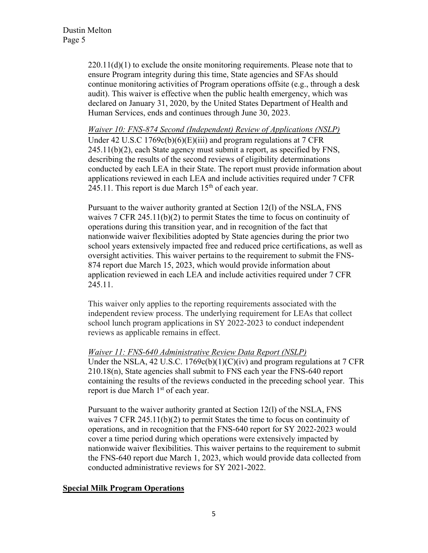$220.11(d)(1)$  to exclude the onsite monitoring requirements. Please note that to ensure Program integrity during this time, State agencies and SFAs should continue monitoring activities of Program operations offsite (e.g., through a desk audit). This waiver is effective when the public health emergency, which was declared on January 31, 2020, by the United States Department of Health and Human Services, ends and continues through June 30, 2023.

*Waiver 10: FNS-874 Second (Independent) Review of Applications (NSLP)* Under 42 U.S.C 1769c(b)(6)(E)(iii) and program regulations at 7 CFR 245.11(b)(2), each State agency must submit a report, as specified by FNS, describing the results of the second reviews of eligibility determinations conducted by each LEA in their State. The report must provide information about applications reviewed in each LEA and include activities required under 7 CFR 245.11. This report is due March  $15<sup>th</sup>$  of each year.

Pursuant to the waiver authority granted at Section 12(l) of the NSLA, FNS waives 7 CFR 245.11(b)(2) to permit States the time to focus on continuity of operations during this transition year, and in recognition of the fact that nationwide waiver flexibilities adopted by State agencies during the prior two school years extensively impacted free and reduced price certifications, as well as oversight activities. This waiver pertains to the requirement to submit the FNS-874 report due March 15, 2023, which would provide information about application reviewed in each LEA and include activities required under 7 CFR 245.11.

This waiver only applies to the reporting requirements associated with the independent review process. The underlying requirement for LEAs that collect school lunch program applications in SY 2022-2023 to conduct independent reviews as applicable remains in effect.

## *Waiver 11: FNS-640 Administrative Review Data Report (NSLP)*

Under the NSLA, 42 U.S.C.  $1769c(b)(1)(C)(iv)$  and program regulations at 7 CFR 210.18(n), State agencies shall submit to FNS each year the FNS-640 report containing the results of the reviews conducted in the preceding school year. This report is due March  $1<sup>st</sup>$  of each year.

Pursuant to the waiver authority granted at Section 12(l) of the NSLA, FNS waives 7 CFR 245.11(b)(2) to permit States the time to focus on continuity of operations, and in recognition that the FNS-640 report for SY 2022-2023 would cover a time period during which operations were extensively impacted by nationwide waiver flexibilities. This waiver pertains to the requirement to submit the FNS-640 report due March 1, 2023, which would provide data collected from conducted administrative reviews for SY 2021-2022.

## **Special Milk Program Operations**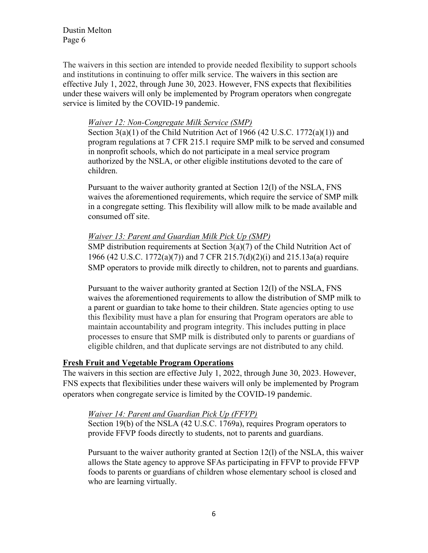The waivers in this section are intended to provide needed flexibility to support schools and institutions in continuing to offer milk service. The waivers in this section are effective July 1, 2022, through June 30, 2023. However, FNS expects that flexibilities under these waivers will only be implemented by Program operators when congregate service is limited by the COVID-19 pandemic.

## *Waiver 12: Non-Congregate Milk Service (SMP)*

Section  $3(a)(1)$  of the Child Nutrition Act of 1966 (42 U.S.C. 1772 $(a)(1)$ ) and program regulations at 7 CFR 215.1 require SMP milk to be served and consumed in nonprofit schools, which do not participate in a meal service program authorized by the NSLA, or other eligible institutions devoted to the care of children.

Pursuant to the waiver authority granted at Section 12(l) of the NSLA, FNS waives the aforementioned requirements, which require the service of SMP milk in a congregate setting. This flexibility will allow milk to be made available and consumed off site.

## *Waiver 13: Parent and Guardian Milk Pick Up (SMP)*

SMP distribution requirements at Section 3(a)(7) of the Child Nutrition Act of 1966 (42 U.S.C. 1772(a)(7)) and 7 CFR 215.7(d)(2)(i) and 215.13a(a) require SMP operators to provide milk directly to children, not to parents and guardians.

Pursuant to the waiver authority granted at Section 12(l) of the NSLA, FNS waives the aforementioned requirements to allow the distribution of SMP milk to a parent or guardian to take home to their children. State agencies opting to use this flexibility must have a plan for ensuring that Program operators are able to maintain accountability and program integrity. This includes putting in place processes to ensure that SMP milk is distributed only to parents or guardians of eligible children, and that duplicate servings are not distributed to any child.

#### **Fresh Fruit and Vegetable Program Operations**

The waivers in this section are effective July 1, 2022, through June 30, 2023. However, FNS expects that flexibilities under these waivers will only be implemented by Program operators when congregate service is limited by the COVID-19 pandemic.

#### *Waiver 14: Parent and Guardian Pick Up (FFVP)*

Section 19(b) of the NSLA (42 U.S.C. 1769a), requires Program operators to provide FFVP foods directly to students, not to parents and guardians.

Pursuant to the waiver authority granted at Section 12(l) of the NSLA, this waiver allows the State agency to approve SFAs participating in FFVP to provide FFVP foods to parents or guardians of children whose elementary school is closed and who are learning virtually.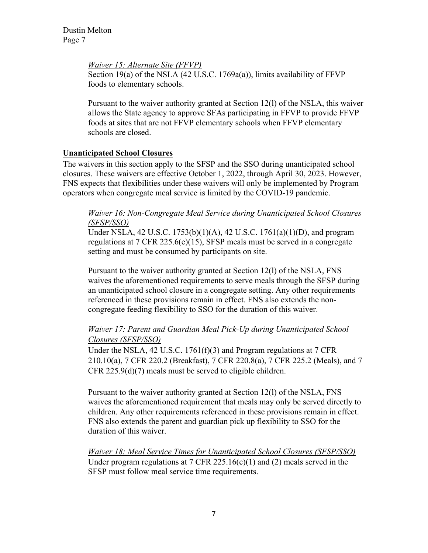*Waiver 15: Alternate Site (FFVP)*

Section 19(a) of the NSLA (42 U.S.C. 1769a(a)), limits availability of FFVP foods to elementary schools.

Pursuant to the waiver authority granted at Section 12(l) of the NSLA, this waiver allows the State agency to approve SFAs participating in FFVP to provide FFVP foods at sites that are not FFVP elementary schools when FFVP elementary schools are closed.

## **Unanticipated School Closures**

The waivers in this section apply to the SFSP and the SSO during unanticipated school closures. These waivers are effective October 1, 2022, through April 30, 2023. However, FNS expects that flexibilities under these waivers will only be implemented by Program operators when congregate meal service is limited by the COVID-19 pandemic.

## *Waiver 16: Non-Congregate Meal Service during Unanticipated School Closures (SFSP/SSO)*

Under NSLA, 42 U.S.C. 1753(b)(1)(A), 42 U.S.C. 1761(a)(1)(D), and program regulations at 7 CFR 225.6(e)(15), SFSP meals must be served in a congregate setting and must be consumed by participants on site.

Pursuant to the waiver authority granted at Section 12(l) of the NSLA, FNS waives the aforementioned requirements to serve meals through the SFSP during an unanticipated school closure in a congregate setting. Any other requirements referenced in these provisions remain in effect. FNS also extends the noncongregate feeding flexibility to SSO for the duration of this waiver.

# *Waiver 17: Parent and Guardian Meal Pick-Up during Unanticipated School Closures (SFSP/SSO)*

Under the NSLA, 42 U.S.C. 1761(f)(3) and Program regulations at 7 CFR 210.10(a), 7 CFR 220.2 (Breakfast), 7 CFR 220.8(a), 7 CFR 225.2 (Meals), and 7 CFR 225.9(d)(7) meals must be served to eligible children.

Pursuant to the waiver authority granted at Section 12(l) of the NSLA, FNS waives the aforementioned requirement that meals may only be served directly to children. Any other requirements referenced in these provisions remain in effect. FNS also extends the parent and guardian pick up flexibility to SSO for the duration of this waiver.

*Waiver 18: Meal Service Times for Unanticipated School Closures (SFSP/SSO)*  Under program regulations at  $7 \text{ CFR } 225.16(c)(1)$  and (2) meals served in the SFSP must follow meal service time requirements.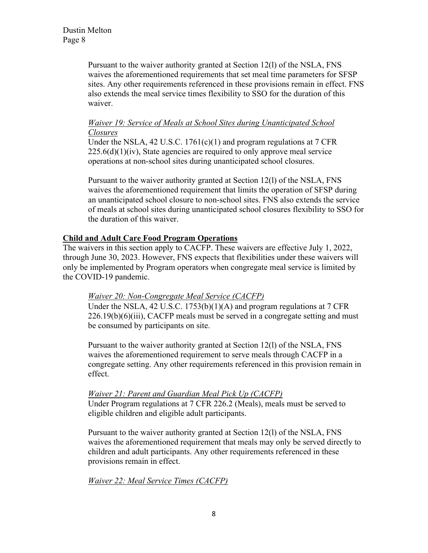Pursuant to the waiver authority granted at Section 12(l) of the NSLA, FNS waives the aforementioned requirements that set meal time parameters for SFSP sites. Any other requirements referenced in these provisions remain in effect. FNS also extends the meal service times flexibility to SSO for the duration of this waiver.

# *Waiver 19: Service of Meals at School Sites during Unanticipated School Closures*

Under the NSLA, 42 U.S.C.  $1761(c)(1)$  and program regulations at  $7 \text{ CFR}$  $225.6(d)(1)(iv)$ , State agencies are required to only approve meal service operations at non-school sites during unanticipated school closures.

Pursuant to the waiver authority granted at Section 12(l) of the NSLA, FNS waives the aforementioned requirement that limits the operation of SFSP during an unanticipated school closure to non-school sites. FNS also extends the service of meals at school sites during unanticipated school closures flexibility to SSO for the duration of this waiver.

# **Child and Adult Care Food Program Operations**

The waivers in this section apply to CACFP. These waivers are effective July 1, 2022, through June 30, 2023. However, FNS expects that flexibilities under these waivers will only be implemented by Program operators when congregate meal service is limited by the COVID-19 pandemic.

# *Waiver 20: Non-Congregate Meal Service (CACFP)*

Under the NSLA, 42 U.S.C. 1753(b)(1)(A) and program regulations at 7 CFR  $226.19(b)(6)(iii)$ , CACFP meals must be served in a congregate setting and must be consumed by participants on site.

Pursuant to the waiver authority granted at Section 12(l) of the NSLA, FNS waives the aforementioned requirement to serve meals through CACFP in a congregate setting. Any other requirements referenced in this provision remain in effect.

*Waiver 21: Parent and Guardian Meal Pick Up (CACFP)*  Under Program regulations at 7 CFR 226.2 (Meals), meals must be served to eligible children and eligible adult participants.

Pursuant to the waiver authority granted at Section 12(l) of the NSLA, FNS waives the aforementioned requirement that meals may only be served directly to children and adult participants. Any other requirements referenced in these provisions remain in effect.

*Waiver 22: Meal Service Times (CACFP)*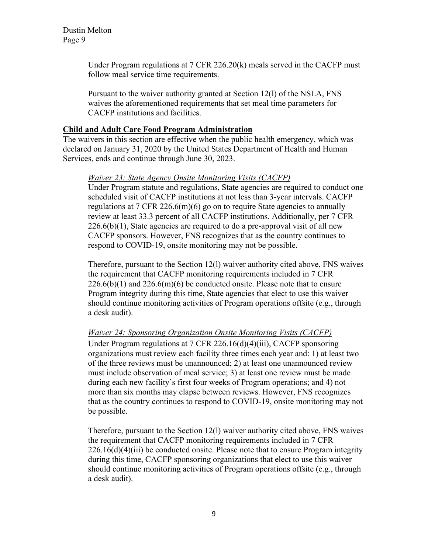> Under Program regulations at 7 CFR 226.20(k) meals served in the CACFP must follow meal service time requirements.

Pursuant to the waiver authority granted at Section 12(l) of the NSLA, FNS waives the aforementioned requirements that set meal time parameters for CACFP institutions and facilities.

# **Child and Adult Care Food Program Administration**

The waivers in this section are effective when the public health emergency, which was declared on January 31, 2020 by the United States Department of Health and Human Services, ends and continue through June 30, 2023.

## *Waiver 23: State Agency Onsite Monitoring Visits (CACFP)*

Under Program statute and regulations, State agencies are required to conduct one scheduled visit of CACFP institutions at not less than 3-year intervals. CACFP regulations at  $7 \text{ CFR } 226.6 \text{ (m)}(6)$  go on to require State agencies to annually review at least 33.3 percent of all CACFP institutions. Additionally, per 7 CFR  $226.6(b)(1)$ , State agencies are required to do a pre-approval visit of all new CACFP sponsors. However, FNS recognizes that as the country continues to respond to COVID-19, onsite monitoring may not be possible.

Therefore, pursuant to the Section 12(l) waiver authority cited above, FNS waives the requirement that CACFP monitoring requirements included in 7 CFR  $226.6(b)(1)$  and  $226.6(m)(6)$  be conducted onsite. Please note that to ensure Program integrity during this time, State agencies that elect to use this waiver should continue monitoring activities of Program operations offsite (e.g., through a desk audit).

## *Waiver 24: Sponsoring Organization Onsite Monitoring Visits (CACFP)*

Under Program regulations at 7 CFR 226.16(d)(4)(iii), CACFP sponsoring organizations must review each facility three times each year and: 1) at least two of the three reviews must be unannounced; 2) at least one unannounced review must include observation of meal service; 3) at least one review must be made during each new facility's first four weeks of Program operations; and 4) not more than six months may elapse between reviews. However, FNS recognizes that as the country continues to respond to COVID-19, onsite monitoring may not be possible.

Therefore, pursuant to the Section 12(l) waiver authority cited above, FNS waives the requirement that CACFP monitoring requirements included in 7 CFR  $226.16(d)(4)(iii)$  be conducted onsite. Please note that to ensure Program integrity during this time, CACFP sponsoring organizations that elect to use this waiver should continue monitoring activities of Program operations offsite (e.g., through a desk audit).